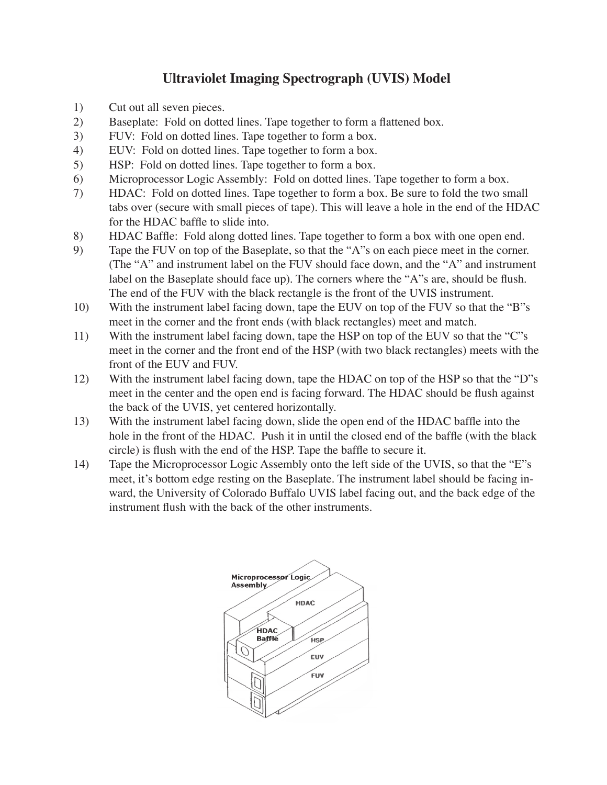## **Ultraviolet Imaging Spectrograph (UVIS) Model**

- 1) Cut out all seven pieces.
- 2) Baseplate: Fold on dotted lines. Tape together to form a flattened box.
- 3) FUV: Fold on dotted lines. Tape together to form a box.
- 4) EUV: Fold on dotted lines. Tape together to form a box.
- 5) HSP: Fold on dotted lines. Tape together to form a box.
- 6) Microprocessor Logic Assembly: Fold on dotted lines. Tape together to form a box.
- 7) HDAC: Fold on dotted lines. Tape together to form a box. Be sure to fold the two small tabs over (secure with small pieces of tape). This will leave a hole in the end of the HDAC for the HDAC baffle to slide into.
- 8) HDAC Baffle: Fold along dotted lines. Tape together to form a box with one open end.
- 9) Tape the FUV on top of the Baseplate, so that the "A"s on each piece meet in the corner. (The "A" and instrument label on the FUV should face down, and the "A" and instrument label on the Baseplate should face up). The corners where the "A"s are, should be flush. The end of the FUV with the black rectangle is the front of the UVIS instrument.
- 10) With the instrument label facing down, tape the EUV on top of the FUV so that the "B"s meet in the corner and the front ends (with black rectangles) meet and match.
- 11) With the instrument label facing down, tape the HSP on top of the EUV so that the "C"s meet in the corner and the front end of the HSP (with two black rectangles) meets with the front of the EUV and FUV.
- 12) With the instrument label facing down, tape the HDAC on top of the HSP so that the "D"s meet in the center and the open end is facing forward. The HDAC should be flush against the back of the UVIS, yet centered horizontally.
- 13) With the instrument label facing down, slide the open end of the HDAC baffle into the hole in the front of the HDAC. Push it in until the closed end of the baffle (with the black circle) is flush with the end of the HSP. Tape the baffle to secure it.
- 14) Tape the Microprocessor Logic Assembly onto the left side of the UVIS, so that the "E"s meet, it's bottom edge resting on the Baseplate. The instrument label should be facing inward, the University of Colorado Buffalo UVIS label facing out, and the back edge of the instrument flush with the back of the other instruments.

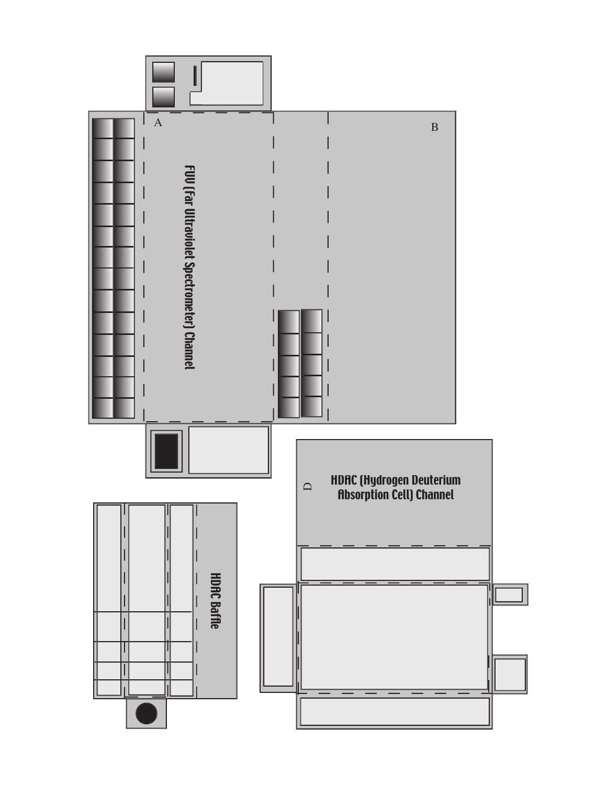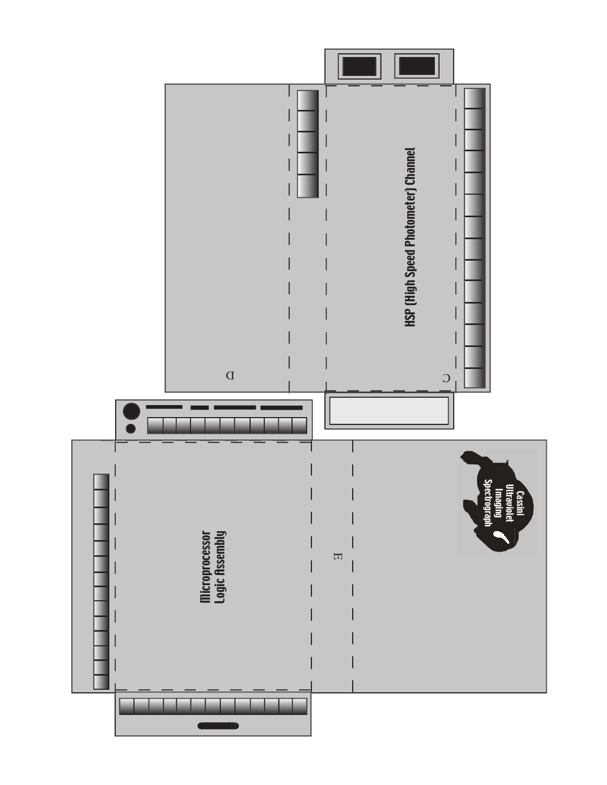